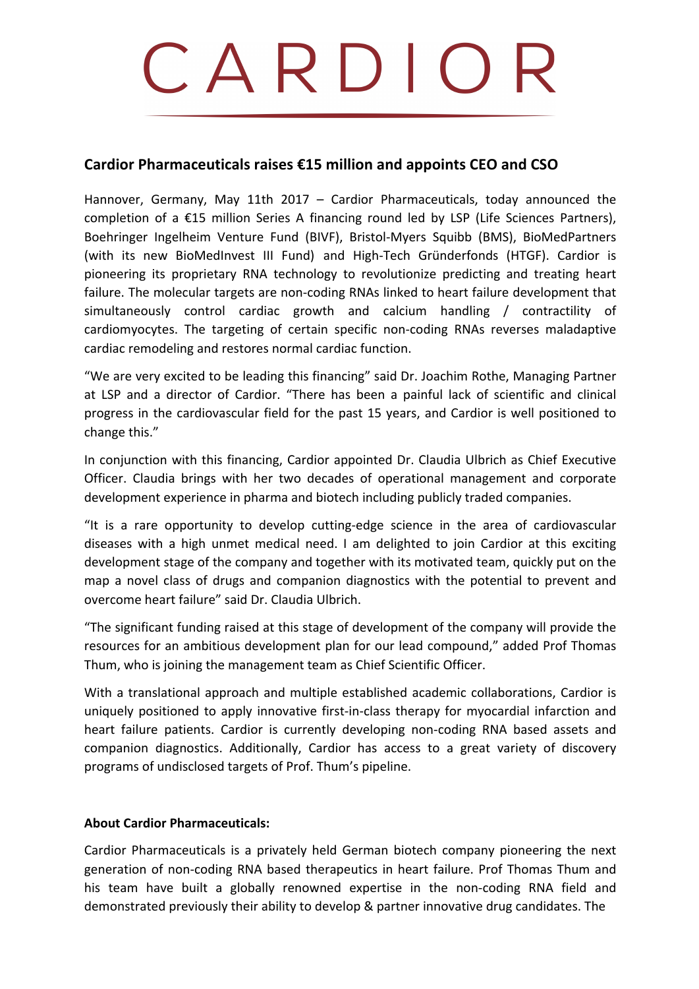# CARDIOI

# Cardior Pharmaceuticals raises €15 million and appoints CEO and CSO

Hannover, Germany, May 11th 2017 – Cardior Pharmaceuticals, today announced the completion of a  $£15$  million Series A financing round led by LSP (Life Sciences Partners), Boehringer Ingelheim Venture Fund (BIVF), Bristol-Myers Squibb (BMS), BioMedPartners (with its new BioMedInvest III Fund) and High-Tech Gründerfonds (HTGF). Cardior is pioneering its proprietary RNA technology to revolutionize predicting and treating heart failure. The molecular targets are non-coding RNAs linked to heart failure development that simultaneously control cardiac growth and calcium handling / contractility of cardiomyocytes. The targeting of certain specific non-coding RNAs reverses maladaptive cardiac remodeling and restores normal cardiac function.

"We are very excited to be leading this financing" said Dr. Joachim Rothe, Managing Partner at LSP and a director of Cardior. "There has been a painful lack of scientific and clinical progress in the cardiovascular field for the past 15 years, and Cardior is well positioned to change this."

In conjunction with this financing, Cardior appointed Dr. Claudia Ulbrich as Chief Executive Officer. Claudia brings with her two decades of operational management and corporate development experience in pharma and biotech including publicly traded companies.

"It is a rare opportunity to develop cutting-edge science in the area of cardiovascular diseases with a high unmet medical need. I am delighted to join Cardior at this exciting development stage of the company and together with its motivated team, quickly put on the map a novel class of drugs and companion diagnostics with the potential to prevent and overcome heart failure" said Dr. Claudia Ulbrich.

"The significant funding raised at this stage of development of the company will provide the resources for an ambitious development plan for our lead compound," added Prof Thomas Thum, who is joining the management team as Chief Scientific Officer.

With a translational approach and multiple established academic collaborations, Cardior is uniquely positioned to apply innovative first-in-class therapy for myocardial infarction and heart failure patients. Cardior is currently developing non-coding RNA based assets and companion diagnostics. Additionally, Cardior has access to a great variety of discovery programs of undisclosed targets of Prof. Thum's pipeline.

## **About Cardior Pharmaceuticals:**

Cardior Pharmaceuticals is a privately held German biotech company pioneering the next generation of non-coding RNA based therapeutics in heart failure. Prof Thomas Thum and his team have built a globally renowned expertise in the non-coding RNA field and demonstrated previously their ability to develop & partner innovative drug candidates. The